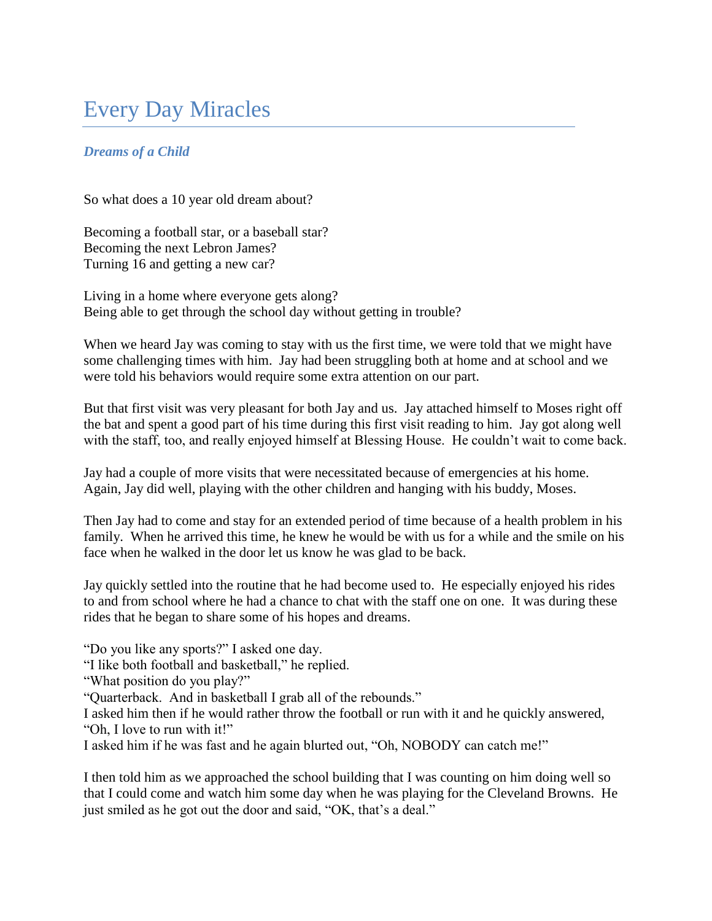## Every Day Miracles

## *Dreams of a Child*

So what does a 10 year old dream about?

Becoming a football star, or a baseball star? Becoming the next Lebron James? Turning 16 and getting a new car?

Living in a home where everyone gets along? Being able to get through the school day without getting in trouble?

When we heard Jay was coming to stay with us the first time, we were told that we might have some challenging times with him. Jay had been struggling both at home and at school and we were told his behaviors would require some extra attention on our part.

But that first visit was very pleasant for both Jay and us. Jay attached himself to Moses right off the bat and spent a good part of his time during this first visit reading to him. Jay got along well with the staff, too, and really enjoyed himself at Blessing House. He couldn't wait to come back.

Jay had a couple of more visits that were necessitated because of emergencies at his home. Again, Jay did well, playing with the other children and hanging with his buddy, Moses.

Then Jay had to come and stay for an extended period of time because of a health problem in his family. When he arrived this time, he knew he would be with us for a while and the smile on his face when he walked in the door let us know he was glad to be back.

Jay quickly settled into the routine that he had become used to. He especially enjoyed his rides to and from school where he had a chance to chat with the staff one on one. It was during these rides that he began to share some of his hopes and dreams.

"Do you like any sports?" I asked one day.

"I like both football and basketball," he replied.

"What position do you play?"

"Quarterback. And in basketball I grab all of the rebounds."

I asked him then if he would rather throw the football or run with it and he quickly answered, "Oh, I love to run with it!"

I asked him if he was fast and he again blurted out, "Oh, NOBODY can catch me!"

I then told him as we approached the school building that I was counting on him doing well so that I could come and watch him some day when he was playing for the Cleveland Browns. He just smiled as he got out the door and said, "OK, that's a deal."